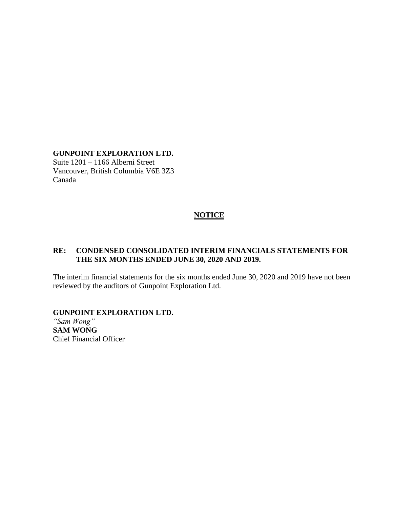### **GUNPOINT EXPLORATION LTD.**

Suite 1201 – 1166 Alberni Street Vancouver, British Columbia V6E 3Z3 Canada

### **NOTICE**

### **RE: CONDENSED CONSOLIDATED INTERIM FINANCIALS STATEMENTS FOR THE SIX MONTHS ENDED JUNE 30, 2020 AND 2019.**

The interim financial statements for the six months ended June 30, 2020 and 2019 have not been reviewed by the auditors of Gunpoint Exploration Ltd.

### **GUNPOINT EXPLORATION LTD.**

*"Sam Wong"* **SAM WONG** Chief Financial Officer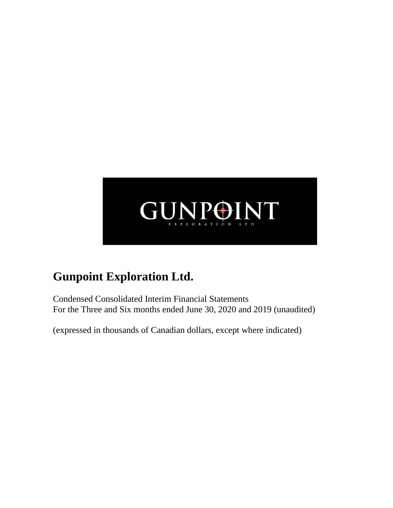

Condensed Consolidated Interim Financial Statements For the Three and Six months ended June 30, 2020 and 2019 (unaudited)

(expressed in thousands of Canadian dollars, except where indicated)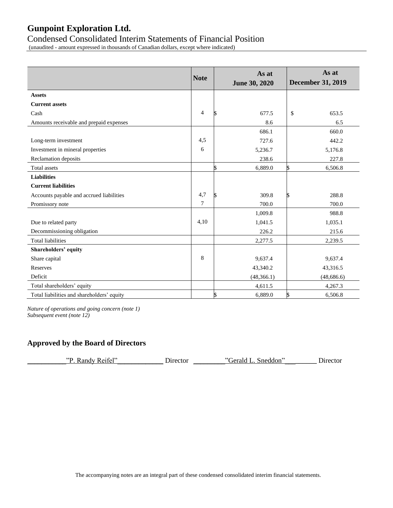### Condensed Consolidated Interim Statements of Financial Position

(unaudited - amount expressed in thousands of Canadian dollars, except where indicated)

|                                            | <b>Note</b>    | As at<br>June 30, 2020 | As at<br><b>December 31, 2019</b> |
|--------------------------------------------|----------------|------------------------|-----------------------------------|
| <b>Assets</b>                              |                |                        |                                   |
| <b>Current assets</b>                      |                |                        |                                   |
| Cash                                       | $\overline{4}$ | 677.5                  | 653.5<br>\$                       |
| Amounts receivable and prepaid expenses    |                | 8.6                    | 6.5                               |
|                                            |                | 686.1                  | 660.0                             |
| Long-term investment                       | 4,5            | 727.6                  | 442.2                             |
| Investment in mineral properties           | 6              | 5,236.7                | 5,176.8                           |
| Reclamation deposits                       |                | 238.6                  | 227.8                             |
| Total assets                               |                | 6,889.0                | 6,506.8                           |
| <b>Liabilities</b>                         |                |                        |                                   |
| <b>Current liabilities</b>                 |                |                        |                                   |
| Accounts payable and accrued liabilities   | 4,7            | 309.8                  | 288.8                             |
| Promissory note                            | $\tau$         | 700.0                  | 700.0                             |
|                                            |                | 1,009.8                | 988.8                             |
| Due to related party                       | 4,10           | 1,041.5                | 1,035.1                           |
| Decommissioning obligation                 |                | 226.2                  | 215.6                             |
| <b>Total liabilities</b>                   |                | 2,277.5                | 2,239.5                           |
| Shareholders' equity                       |                |                        |                                   |
| Share capital                              | 8              | 9,637.4                | 9,637.4                           |
| <b>Reserves</b>                            |                | 43,340.2               | 43,316.5                          |
| Deficit                                    |                | (48, 366.1)            | (48, 686.6)                       |
| Total shareholders' equity                 |                | 4,611.5                | 4,267.3                           |
| Total liabilities and shareholders' equity |                | 6,889.0                | 6,506.8                           |

*Nature of operations and going concern (note 1) Subsequent event (note 12)*

### **Approved by the Board of Directors**

| Randy Reifel"<br>סיי<br>Gerald L. Sneddon"<br>Director | $D$ irector |
|--------------------------------------------------------|-------------|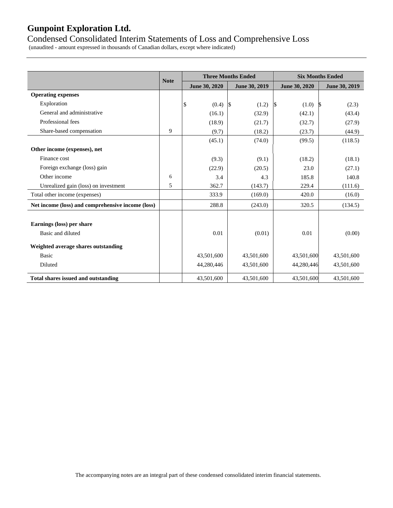### Condensed Consolidated Interim Statements of Loss and Comprehensive Loss

(unaudited - amount expressed in thousands of Canadian dollars, except where indicated)

|                                                   |             |               | <b>Three Months Ended</b> | <b>Six Months Ended</b> |               |  |  |
|---------------------------------------------------|-------------|---------------|---------------------------|-------------------------|---------------|--|--|
|                                                   | <b>Note</b> | June 30, 2020 | June 30, 2019             | June 30, 2020           | June 30, 2019 |  |  |
| <b>Operating expenses</b>                         |             |               |                           |                         |               |  |  |
| Exploration                                       |             | \$<br>(0.4)   | $\sqrt{3}$<br>(1.2)       | l\$<br>(1.0)            | (2.3)<br>S.   |  |  |
| General and administrative                        |             | (16.1)        | (32.9)                    | (42.1)                  | (43.4)        |  |  |
| Professional fees                                 |             | (18.9)        | (21.7)                    | (32.7)                  | (27.9)        |  |  |
| Share-based compensation                          | 9           | (9.7)         | (18.2)                    | (23.7)                  | (44.9)        |  |  |
|                                                   |             | (45.1)        | (74.0)                    | (99.5)                  | (118.5)       |  |  |
| Other income (expenses), net                      |             |               |                           |                         |               |  |  |
| Finance cost                                      |             | (9.3)         | (9.1)                     | (18.2)                  | (18.1)        |  |  |
| Foreign exchange (loss) gain                      |             | (22.9)        | (20.5)                    | 23.0                    | (27.1)        |  |  |
| Other income                                      | 6           | 3.4           | 4.3                       | 185.8                   | 140.8         |  |  |
| Unrealized gain (loss) on investment              | 5           | 362.7         | (143.7)                   | 229.4                   | (111.6)       |  |  |
| Total other income (expenses)                     |             | 333.9         | (169.0)                   | 420.0                   | (16.0)        |  |  |
| Net income (loss) and comprehensive income (loss) |             | 288.8         | (243.0)                   | 320.5                   | (134.5)       |  |  |
| Earnings (loss) per share<br>Basic and diluted    |             | 0.01          | (0.01)                    | 0.01                    | (0.00)        |  |  |
| Weighted average shares outstanding               |             |               |                           |                         |               |  |  |
| <b>Basic</b>                                      |             | 43,501,600    | 43,501,600                | 43,501,600              | 43,501,600    |  |  |
| Diluted                                           |             | 44,280,446    | 43,501,600                | 44,280,446              | 43,501,600    |  |  |
| <b>Total shares issued and outstanding</b>        |             | 43,501,600    | 43,501,600                | 43,501,600              | 43,501,600    |  |  |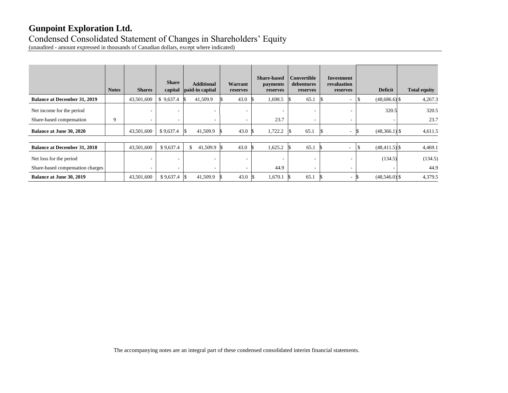# Condensed Consolidated Statement of Changes in Shareholders' Equity

(unaudited - amount expressed in thousands of Canadian dollars, except where indicated)

|                                     | <b>Notes</b> | <b>Shares</b> | <b>Share</b><br>capital | <b>Additional</b><br>paid-in capital | Warrant<br>reserves      | <b>Share-based</b><br>payments<br>reserves | <b>Convertible</b><br>debentures<br>reserves | Investment<br>revaluation<br>reserves | <b>Deficit</b>   | <b>Total equity</b> |
|-------------------------------------|--------------|---------------|-------------------------|--------------------------------------|--------------------------|--------------------------------------------|----------------------------------------------|---------------------------------------|------------------|---------------------|
| <b>Balance at December 31, 2019</b> |              | 43,501,600    | \$9,637.4               | 41,509.9                             | 43.0                     | 1,698.5                                    | 65.1                                         | $\overline{\phantom{a}}$              | $(48,686.6)$ \$  | 4,267.3             |
| Net income for the period           |              | ۰             | ۰                       |                                      |                          | ٠                                          |                                              |                                       | 320.5            | 320.5               |
| Share-based compensation            | 9            | $\sim$        | ۰                       |                                      | $\overline{\phantom{a}}$ | 23.7                                       | ۰                                            |                                       |                  | 23.7                |
| <b>Balance at June 30, 2020</b>     |              | 43,501,600    | \$9,637.4               | 41,509.9                             | 43.0                     | 1,722.2                                    | 65.1                                         | $\sim$                                | $(48,366.1)$ \$  | 4,611.5             |
|                                     |              |               |                         |                                      |                          |                                            |                                              |                                       |                  |                     |
| <b>Balance at December 31, 2018</b> |              | 43,501,600    | \$9,637.4               | 41,509.9<br>\$                       | 43.0                     | 1,625.2                                    | 65.1                                         | $\overline{\phantom{a}}$              | $(48, 411.5)$ \$ | 4,469.1             |
| Net loss for the period             |              | ۰             | ۰                       |                                      | $\overline{\phantom{a}}$ | $\overline{\phantom{a}}$                   |                                              |                                       | (134.5)          | (134.5)             |
| Share-based compensation charges    |              | ۰             | ٠                       |                                      | $\sim$                   | 44.9                                       | ۰                                            | ۰                                     |                  | 44.9                |
| <b>Balance at June 30, 2019</b>     |              | 43,501,600    | \$9,637.4               | 41,509.9<br>15                       | 43.0                     | 1,670.1                                    | 65.1                                         | $\overline{\phantom{a}}$              | $(48,546.0)$ \$  | 4,379.5             |

The accompanying notes are an integral part of these condensed consolidated interim financial statements.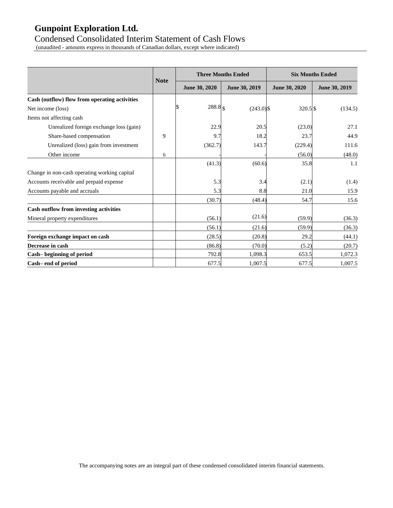### Condensed Consolidated Interim Statement of Cash Flows

(unaudited - amounts express in thousands of Canadian dollars, except where indicated)

|                                               |             |                     | <b>Three Months Ended</b> |               | <b>Six Months Ended</b> |
|-----------------------------------------------|-------------|---------------------|---------------------------|---------------|-------------------------|
|                                               | <b>Note</b> | June 30, 2020       | June 30, 2019             | June 30, 2020 | June 30, 2019           |
| Cash (outflow) flow from operating activities |             |                     |                           |               |                         |
| Net income (loss)                             |             | $288.8$ \sigma_0.88 | $(243.0)$ \$              | 320.5 \$      | (134.5)                 |
| Items not affecting cash                      |             |                     |                           |               |                         |
| Unrealized foreign exchange loss (gain)       |             | 22.9                | 20.5                      | (23.0)        | 27.1                    |
| Share-based compensation                      | 9           | 9.7                 | 18.2                      | 23.7          | 44.9                    |
| Unrealized (loss) gain from investment        |             | (362.7)             | 143.7                     | (229.4)       | 111.6                   |
| Other income                                  | 6           |                     |                           | (56.0)        | (48.0)                  |
|                                               |             | (41.3)              | (60.6)                    | 35.8          | 1.1                     |
| Change in non-cash operating working capital  |             |                     |                           |               |                         |
| Accounts receivable and prepaid expense       |             | 5.3                 | 3.4                       | (2.1)         | (1.4)                   |
| Accounts payable and accruals                 |             | 5.3                 | 8.8                       | 21.0          | 15.9                    |
|                                               |             | (30.7)              | (48.4)                    | 54.7          | 15.6                    |
| <b>Cash outflow from investing activities</b> |             |                     |                           |               |                         |
| Mineral property expenditures                 |             | (56.1)              | (21.6)                    | (59.9)        | (36.3)                  |
|                                               |             | (56.1)              | (21.6)                    | (59.9)        | (36.3)                  |
| Foreign exchange impact on cash               |             | (28.5)              | (20.8)                    | 29.2          | (44.1)                  |
| Decrease in cash                              |             | (86.8)              | (70.0)                    | (5.2)         | (20.7)                  |
| Cash-beginning of period                      |             | 792.8               | 1,098.3                   | 653.5         | 1,072.3                 |
| Cash-end of period                            |             | 677.5               | 1,007.5                   | 677.5         | 1,007.5                 |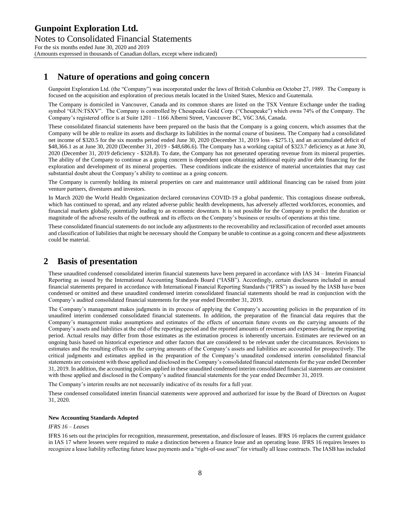### **1 Nature of operations and going concern**

Gunpoint Exploration Ltd. (the "Company") was incorporated under the laws of British Columbia on October 27, 1989. The Company is focused on the acquisition and exploration of precious metals located in the United States, Mexico and Guatemala.

The Company is domiciled in Vancouver, Canada and its common shares are listed on the TSX Venture Exchange under the trading symbol "GUN:TSXV". The Company is controlled by Chesapeake Gold Corp. ("Chesapeake") which owns 74% of the Company. The Company's registered office is at Suite 1201 – 1166 Alberni Street, Vancouver BC, V6C 3A6, Canada.

These consolidated financial statements have been prepared on the basis that the Company is a going concern, which assumes that the Company will be able to realize its assets and discharge its liabilities in the normal course of business. The Company had a consolidated net income of \$320.5 for the six months period ended June 30, 2020 (December 31, 2019 loss - \$275.1), and an accumulated deficit of \$48,366.1 as at June 30, 2020 (December 31, 2019 - \$48,686.6). The Company has a working capital of \$323.7 deficiency as at June 30, 2020 (December 31, 2019 deficiency - \$328.8). To date, the Company has not generated operating revenue from its mineral properties. The ability of the Company to continue as a going concern is dependent upon obtaining additional equity and/or debt financing for the exploration and development of its mineral properties. These conditions indicate the existence of material uncertainties that may cast substantial doubt about the Company's ability to continue as a going concern.

The Company is currently holding its mineral properties on care and maintenance until additional financing can be raised from joint venture partners, divestures and investors.

In March 2020 the World Health Organization declared coronavirus COVID-19 a global pandemic. This contagious disease outbreak, which has continued to spread, and any related adverse public health developments, has adversely affected workforces, economies, and financial markets globally, potentially leading to an economic downturn. It is not possible for the Company to predict the duration or magnitude of the adverse results of the outbreak and its effects on the Company's business or results of operations at this time.

These consolidated financial statements do not include any adjustments to the recoverability and reclassification of recorded asset amounts and classification of liabilities that might be necessary should the Company be unable to continue as a going concern and these adjustments could be material.

### **2 Basis of presentation**

These unaudited condensed consolidated interim financial statements have been prepared in accordance with IAS 34 – Interim Financial Reporting as issued by the International Accounting Standards Board ("IASB"). Accordingly, certain disclosures included in annual financial statements prepared in accordance with International Financial Reporting Standards ("IFRS") as issued by the IASB have been condensed or omitted and these unaudited condensed interim consolidated financial statements should be read in conjunction with the Company's audited consolidated financial statements for the year ended December 31, 2019.

The Company's management makes judgments in its process of applying the Company's accounting policies in the preparation of its unaudited interim condensed consolidated financial statements. In addition, the preparation of the financial data requires that the Company's management make assumptions and estimates of the effects of uncertain future events on the carrying amounts of the Company's assets and liabilities at the end of the reporting period and the reported amounts of revenues and expenses during the reporting period. Actual results may differ from those estimates as the estimation process is inherently uncertain. Estimates are reviewed on an ongoing basis based on historical experience and other factors that are considered to be relevant under the circumstances. Revisions to estimates and the resulting effects on the carrying amounts of the Company's assets and liabilities are accounted for prospectively. The critical judgments and estimates applied in the preparation of the Company's unaudited condensed interim consolidated financial statements are consistent with those applied and disclosed in the Company's consolidated financial statements for the year ended December 31, 2019. In addition, the accounting policies applied in these unaudited condensed interim consolidated financial statements are consistent with those applied and disclosed in the Company's audited financial statements for the year ended December 31, 2019.

The Company's interim results are not necessarily indicative of its results for a full year.

These condensed consolidated interim financial statements were approved and authorized for issue by the Board of Directors on August 31, 2020.

#### **New Accounting Standards Adopted**

#### *IFRS 16 – Leases*

IFRS 16 sets out the principles for recognition, measurement, presentation, and disclosure of leases. IFRS 16 replaces the current guidance in IAS 17 where lessees were required to make a distinction between a finance lease and an operating lease. IFRS 16 requires lessees to recognize a lease liability reflecting future lease payments and a "right-of-use asset" for virtually all lease contracts. The IASB has included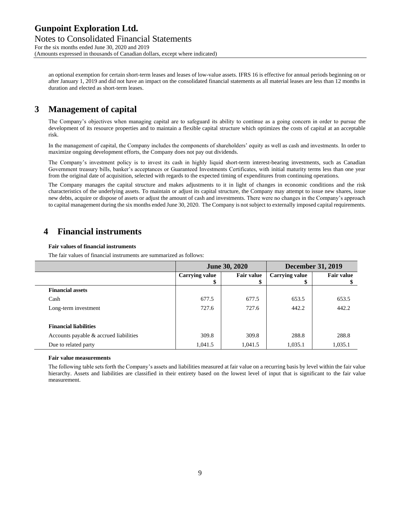Notes to Consolidated Financial Statements For the six months ended June 30, 2020 and 2019 (Amounts expressed in thousands of Canadian dollars, except where indicated)

an optional exemption for certain short-term leases and leases of low-value assets. IFRS 16 is effective for annual periods beginning on or after January 1, 2019 and did not have an impact on the consolidated financial statements as all material leases are less than 12 months in duration and elected as short-term leases.

### **3 Management of capital**

The Company's objectives when managing capital are to safeguard its ability to continue as a going concern in order to pursue the development of its resource properties and to maintain a flexible capital structure which optimizes the costs of capital at an acceptable risk.

In the management of capital, the Company includes the components of shareholders' equity as well as cash and investments. In order to maximize ongoing development efforts, the Company does not pay out dividends.

The Company's investment policy is to invest its cash in highly liquid short-term interest-bearing investments, such as Canadian Government treasury bills, banker's acceptances or Guaranteed Investments Certificates, with initial maturity terms less than one year from the original date of acquisition, selected with regards to the expected timing of expenditures from continuing operations.

The Company manages the capital structure and makes adjustments to it in light of changes in economic conditions and the risk characteristics of the underlying assets. To maintain or adjust its capital structure, the Company may attempt to issue new shares, issue new debts, acquire or dispose of assets or adjust the amount of cash and investments. There were no changes in the Company's approach to capital management during the six months ended June 30, 2020. The Company is not subject to externally imposed capital requirements.

### **4 Financial instruments**

#### **Fair values of financial instruments**

The fair values of financial instruments are summarized as follows:

|                                        |                       | <b>June 30, 2020</b> | <b>December 31, 2019</b> |                   |  |
|----------------------------------------|-----------------------|----------------------|--------------------------|-------------------|--|
|                                        | <b>Carrying value</b> | <b>Fair value</b>    | <b>Carrying value</b>    | <b>Fair value</b> |  |
|                                        | \$                    | \$                   | D                        |                   |  |
| <b>Financial assets</b>                |                       |                      |                          |                   |  |
| Cash                                   | 677.5                 | 677.5                | 653.5                    | 653.5             |  |
| Long-term investment                   | 727.6                 | 727.6                | 442.2                    | 442.2             |  |
|                                        |                       |                      |                          |                   |  |
| <b>Financial liabilities</b>           |                       |                      |                          |                   |  |
| Accounts payable & accrued liabilities | 309.8                 | 309.8                | 288.8                    | 288.8             |  |
| Due to related party                   | 1,041.5               | 1,041.5              | 1,035.1                  | 1,035.1           |  |

#### **Fair value measurements**

The following table sets forth the Company's assets and liabilities measured at fair value on a recurring basis by level within the fair value hierarchy. Assets and liabilities are classified in their entirety based on the lowest level of input that is significant to the fair value measurement.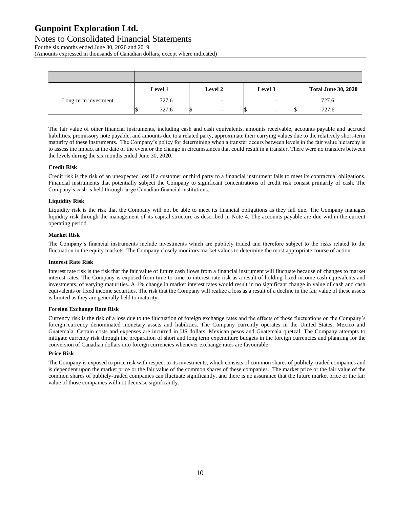Notes to Consolidated Financial Statements For the six months ended June 30, 2020 and 2019

(Amounts expressed in thousands of Canadian dollars, except where indicated)

|                      | Level 1 | <b>Level 2</b>           | Level 3 | <b>Total June 30, 2020</b> |
|----------------------|---------|--------------------------|---------|----------------------------|
| Long-term investment | 727.6   | $\overline{\phantom{0}}$ | -       | 727.6                      |
|                      | 727.6   |                          |         | 727.6                      |

The fair value of other financial instruments, including cash and cash equivalents, amounts receivable, accounts payable and accrued liabilities, promissory note payable, and amounts due to a related party, approximate their carrying values due to the relatively short-term maturity of these instruments. The Company's policy for determining when a transfer occurs between levels in the fair value hierarchy is to assess the impact at the date of the event or the change in circumstances that could result in a transfer. There were no transfers between the levels during the six months ended June 30, 2020.

#### **Credit Risk**

Credit risk is the risk of an unexpected loss if a customer or third party to a financial instrument fails to meet its contractual obligations. Financial instruments that potentially subject the Company to significant concentrations of credit risk consist primarily of cash. The Company's cash is held through large Canadian financial institutions.

#### **Liquidity Risk**

Liquidity risk is the risk that the Company will not be able to meet its financial obligations as they fall due. The Company manages liquidity risk through the management of its capital structure as described in Note 4. The accounts payable are due within the current operating period.

#### **Market Risk**

The Company's financial instruments include investments which are publicly traded and therefore subject to the risks related to the fluctuation in the equity markets. The Company closely monitors market values to determine the most appropriate course of action.

#### **Interest Rate Risk**

Interest rate risk is the risk that the fair value of future cash flows from a financial instrument will fluctuate because of changes to market interest rates. The Company is exposed from time to time to interest rate risk as a result of holding fixed income cash equivalents and investments, of varying maturities. A 1% change in market interest rates would result in no significant change in value of cash and cash equivalents or fixed income securities. The risk that the Company will realize a loss as a result of a decline in the fair value of these assets is limited as they are generally held to maturity.

#### **Foreign Exchange Rate Risk**

Currency risk is the risk of a loss due to the fluctuation of foreign exchange rates and the effects of those fluctuations on the Company's foreign currency denominated monetary assets and liabilities. The Company currently operates in the United States, Mexico and Guatemala. Certain costs and expenses are incurred in US dollars, Mexican pesos and Guatemala quetzal. The Company attempts to mitigate currency risk through the preparation of short and long term expenditure budgets in the foreign currencies and planning for the conversion of Canadian dollars into foreign currencies whenever exchange rates are favourable.

#### **Price Risk**

The Company is exposed to price risk with respect to its investments, which consists of common shares of publicly-traded companies and is dependent upon the market price or the fair value of the common shares of these companies. The market price or the fair value of the common shares of publicly-traded companies can fluctuate significantly, and there is no assurance that the future market price or the fair value of those companies will not decrease significantly.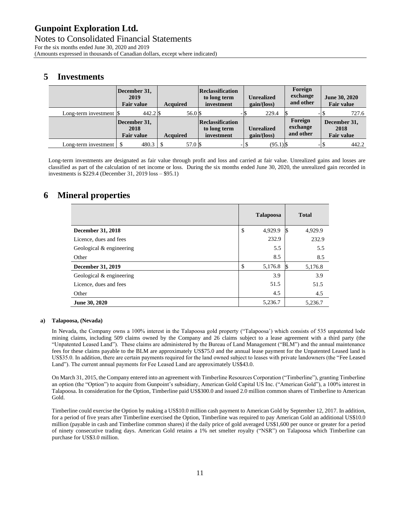Notes to Consolidated Financial Statements For the six months ended June 30, 2020 and 2019 (Amounts expressed in thousands of Canadian dollars, except where indicated)

### **5 Investments**

|                                                | December 31,<br>2019<br><b>Fair value</b> | <b>Acquired</b> | Reclassification<br>to long term<br>investment | <b>Unrealized</b><br>gain/(loss) | Foreign<br>exchange<br>and other | June 30, 2020<br><b>Fair value</b>        |
|------------------------------------------------|-------------------------------------------|-----------------|------------------------------------------------|----------------------------------|----------------------------------|-------------------------------------------|
| Long-term investment $\vert \mathcal{S} \vert$ | 442.2 \$                                  | 56.0 \$         | -13                                            | 229.4                            |                                  | 727.6                                     |
|                                                | December 31,<br>2018<br><b>Fair value</b> | <b>Acquired</b> | Reclassification<br>to long term<br>investment | <b>Unrealized</b><br>gain/(loss) | Foreign<br>exchange<br>and other | December 31,<br>2018<br><b>Fair value</b> |
| Long-term investment                           |                                           | 57.0 \\$        |                                                | $(95.1)$ \$<br>-1\$              |                                  | 442.2                                     |

Long-term investments are designated as fair value through profit and loss and carried at fair value. Unrealized gains and losses are classified as part of the calculation of net income or loss. During the six months ended June 30, 2020, the unrealized gain recorded in investments is \$229.4 (December 31, 2019 loss – \$95.1)

### **6 Mineral properties**

|                          | <b>Talapoosa</b> |     | <b>Total</b> |
|--------------------------|------------------|-----|--------------|
| December 31, 2018        | \$<br>4,929.9    | l\$ | 4,929.9      |
| Licence, dues and fees   | 232.9            |     | 232.9        |
| Geological & engineering | 5.5              |     | 5.5          |
| Other                    | 8.5              |     | 8.5          |
| December 31, 2019        | \$<br>5,176.8    | S   | 5,176.8      |
| Geological & engineering | 3.9              |     | 3.9          |
| Licence, dues and fees   | 51.5             |     | 51.5         |
| Other                    | 4.5              |     | 4.5          |
| June 30, 2020            | 5,236.7          |     | 5.236.7      |

#### **a) Talapoosa, (Nevada)**

In Nevada, the Company owns a 100% interest in the Talapoosa gold property ("Talapoosa') which consists of 535 unpatented lode mining claims, including 509 claims owned by the Company and 26 claims subject to a lease agreement with a third party (the "Unpatented Leased Land"). These claims are administered by the Bureau of Land Management ("BLM") and the annual maintenance fees for these claims payable to the BLM are approximately US\$75.0 and the annual lease payment for the Unpatented Leased land is US\$35.0. In addition, there are certain payments required for the land owned subject to leases with private landowners (the "Fee Leased Land"). The current annual payments for Fee Leased Land are approximately US\$43.0.

On March 31, 2015, the Company entered into an agreement with Timberline Resources Corporation ("Timberline"), granting Timberline an option (the "Option") to acquire from Gunpoint's subsidiary, American Gold Capital US Inc. ("American Gold"), a 100% interest in Talapoosa. In consideration for the Option, Timberline paid US\$300.0 and issued 2.0 million common shares of Timberline to American Gold.

Timberline could exercise the Option by making a US\$10.0 million cash payment to American Gold by September 12, 2017. In addition, for a period of five years after Timberline exercised the Option, Timberline was required to pay American Gold an additional US\$10.0 million (payable in cash and Timberline common shares) if the daily price of gold averaged US\$1,600 per ounce or greater for a period of ninety consecutive trading days. American Gold retains a 1% net smelter royalty ("NSR") on Talapoosa which Timberline can purchase for US\$3.0 million.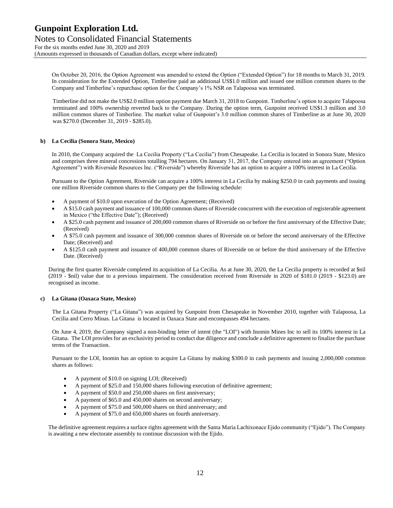Notes to Consolidated Financial Statements For the six months ended June 30, 2020 and 2019 (Amounts expressed in thousands of Canadian dollars, except where indicated)

On October 20, 2016, the Option Agreement was amended to extend the Option ("Extended Option") for 18 months to March 31, 2019. In consideration for the Extended Option, Timberline paid an additional US\$1.0 million and issued one million common shares to the Company and Timberline's repurchase option for the Company's 1% NSR on Talapoosa was terminated.

Timberline did not make the US\$2.0 million option payment due March 31, 2018 to Gunpoint. Timberline's option to acquire Talapoosa terminated and 100% ownership reverted back to the Company. During the option term, Gunpoint received US\$1.3 million and 3.0 million common shares of Timberline. The market value of Gunpoint's 3.0 million common shares of Timberline as at June 30, 2020 was \$270.0 (December 31, 2019 - \$285.0).

#### **b) La Cecilia (Sonora State, Mexico)**

In 2010, the Company acquired the La Cecilia Property ("La Cecilia") from Chesapeake. La Cecilia is located in Sonora State, Mexico and comprises three mineral concessions totalling 794 hectares. On January 31, 2017, the Company entered into an agreement ("Option Agreement") with Riverside Resources Inc. ("Riverside") whereby Riverside has an option to acquire a 100% interest in La Cecilia.

Pursuant to the Option Agreement, Riverside can acquire a 100% interest in La Cecilia by making \$250.0 in cash payments and issuing one million Riverside common shares to the Company per the following schedule:

- A payment of \$10.0 upon execution of the Option Agreement; (Received)
- A \$15.0 cash payment and issuance of 100,000 common shares of Riverside concurrent with the execution of registerable agreement in Mexico ("the Effective Date"); (Received)
- A \$25.0 cash payment and issuance of 200,000 common shares of Riverside on or before the first anniversary of the Effective Date; (Received)
- A \$75.0 cash payment and issuance of 300,000 common shares of Riverside on or before the second anniversary of the Effective Date; (Received) and
- A \$125.0 cash payment and issuance of 400,000 common shares of Riverside on or before the third anniversary of the Effective Date. (Received)

During the first quarter Riverside completed its acquisition of La Cecilia. As at June 30, 2020, the La Cecilia property is recorded at \$nil (2019 - \$nil) value due to a previous impairment. The consideration received from Riverside in 2020 of \$181.0 (2019 - \$123.0) are recognised as income.

#### **c) La Gitana (Oaxaca State, Mexico)**

The La Gitana Property ("La Gitana") was acquired by Gunpoint from Chesapeake in November 2010, together with Talapoosa, La Cecilia and Cerro Minas. La Gitana is located in Oaxaca State and encompasses 494 hectares.

On June 4, 2019, the Company signed a non-binding letter of intent (the "LOI") with Inomin Mines Inc to sell its 100% interest in La Gitana. The LOI provides for an exclusivity period to conduct due diligence and conclude a definitive agreement to finalize the purchase terms of the Transaction.

Pursuant to the LOI, Inomin has an option to acquire La Gitana by making \$300.0 in cash payments and issuing 2,000,000 common shares as follows:

- A payment of \$10.0 on signing LOI; (Received)
- A payment of \$25.0 and 150,000 shares following execution of definitive agreement;
- A payment of \$50.0 and 250,000 shares on first anniversary;
- A payment of \$65.0 and 450,000 shares on second anniversary;
- A payment of \$75.0 and 500,000 shares on third anniversary; and
- A payment of \$75.0 and 650,000 shares on fourth anniversary.

The definitive agreement requires a surface rights agreement with the Santa Maria Lachixonace Ejido community ("Ejido"). The Company is awaiting a new electorate assembly to continue discussion with the Ejido.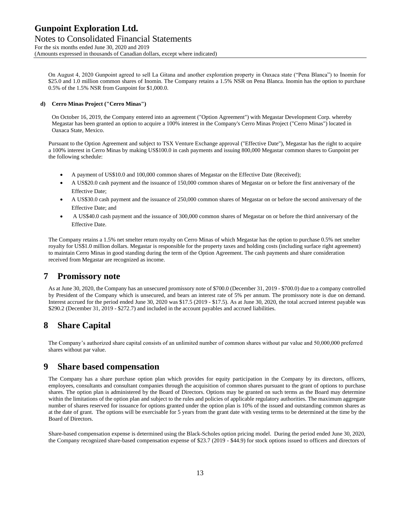Notes to Consolidated Financial Statements For the six months ended June 30, 2020 and 2019 (Amounts expressed in thousands of Canadian dollars, except where indicated)

On August 4, 2020 Gunpoint agreed to sell La Gitana and another exploration property in Oaxaca state ("Pena Blanca") to Inomin for \$25.0 and 1.0 million common shares of Inomin. The Company retains a 1.5% NSR on Pena Blanca. Inomin has the option to purchase 0.5% of the 1.5% NSR from Gunpoint for \$1,000.0.

#### **d) Cerro Minas Project ("Cerro Minas")**

On October 16, 2019, the Company entered into an agreement ("Option Agreement") with Megastar Development Corp. whereby Megastar has been granted an option to acquire a 100% interest in the Company's Cerro Minas Project ("Cerro Minas") located in Oaxaca State, Mexico.

Pursuant to the Option Agreement and subject to TSX Venture Exchange approval ("Effective Date"), Megastar has the right to acquire a 100% interest in Cerro Minas by making US\$100.0 in cash payments and issuing 800,000 Megastar common shares to Gunpoint per the following schedule:

- A payment of US\$10.0 and 100,000 common shares of Megastar on the Effective Date (Received);
- A US\$20.0 cash payment and the issuance of 150,000 common shares of Megastar on or before the first anniversary of the Effective Date;
- A US\$30.0 cash payment and the issuance of 250,000 common shares of Megastar on or before the second anniversary of the Effective Date; and
- A US\$40.0 cash payment and the issuance of 300,000 common shares of Megastar on or before the third anniversary of the Effective Date.

The Company retains a 1.5% net smelter return royalty on Cerro Minas of which Megastar has the option to purchase 0.5% net smelter royalty for US\$1.0 million dollars. Megastar is responsible for the property taxes and holding costs (including surface right agreement) to maintain Cerro Minas in good standing during the term of the Option Agreement. The cash payments and share consideration received from Megastar are recognized as income.

### **7 Promissory note**

As at June 30, 2020, the Company has an unsecured promissory note of \$700.0 (December 31, 2019 - \$700.0) due to a company controlled by President of the Company which is unsecured, and bears an interest rate of 5% per annum. The promissory note is due on demand. Interest accrued for the period ended June 30, 2020 was \$17.5 (2019 - \$17.5). As at June 30, 2020, the total accrued interest payable was \$290.2 (December 31, 2019 - \$272.7) and included in the account payables and accrued liabilities.

## **8 Share Capital**

The Company's authorized share capital consists of an unlimited number of common shares without par value and 50,000,000 preferred shares without par value.

### **9 Share based compensation**

The Company has a share purchase option plan which provides for equity participation in the Company by its directors, officers, employees, consultants and consultant companies through the acquisition of common shares pursuant to the grant of options to purchase shares. The option plan is administered by the Board of Directors. Options may be granted on such terms as the Board may determine within the limitations of the option plan and subject to the rules and policies of applicable regulatory authorities. The maximum aggregate number of shares reserved for issuance for options granted under the option plan is 10% of the issued and outstanding common shares as at the date of grant. The options will be exercisable for 5 years from the grant date with vesting terms to be determined at the time by the Board of Directors.

Share-based compensation expense is determined using the Black-Scholes option pricing model. During the period ended June 30, 2020, the Company recognized share-based compensation expense of \$23.7 (2019 - \$44.9) for stock options issued to officers and directors of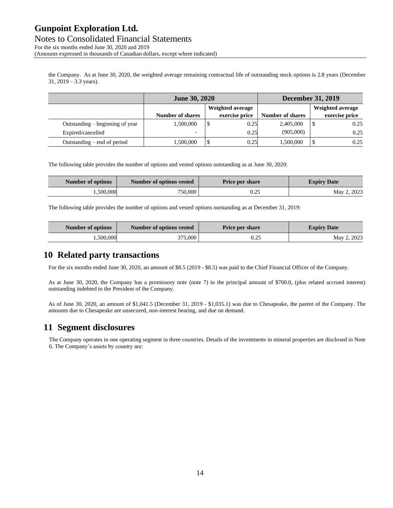Notes to Consolidated Financial Statements For the six months ended June 30, 2020 and 2019 (Amounts expressed in thousands of Canadian dollars, except where indicated)

the Company. As at June 30, 2020, the weighted average remaining contractual life of outstanding stock options is 2.8 years (December 31, 2019 – 3.3 years).

|                                 | <b>June 30, 2020</b>    |   | <b>December 31, 2019</b> |                         |                  |                |
|---------------------------------|-------------------------|---|--------------------------|-------------------------|------------------|----------------|
|                                 | Weighted average        |   |                          |                         | Weighted average |                |
|                                 | <b>Number of shares</b> |   | exercise price           | <b>Number of shares</b> |                  | exercise price |
| Outstanding – beginning of year | 1,500,000               | J | 0.25                     | 2,405,000               |                  | 0.25           |
| Expired/cancelled               | -                       |   | 0.25                     | (905,000)               |                  | 0.25           |
| Outstanding – end of period     | 1,500,000               | J | 0.25                     | 1,500,000               |                  | 0.25           |

The following table provides the number of options and vested options outstanding as at June 30, 2020:

| Number of options | Number of options vested | <b>Price per share</b> | <b>Expiry Date</b> |  |  |
|-------------------|--------------------------|------------------------|--------------------|--|--|
| .500,000          | 750,000                  | 0.25                   | May 2, 2023        |  |  |

The following table provides the number of options and vested options outstanding as at December 31, 2019:

| Number of options | Number of options vested | <b>Price per share</b> | <b>Expiry Date</b> |
|-------------------|--------------------------|------------------------|--------------------|
| 1.500.000         | 375.000                  | 0.25                   | May 2, 2023        |

### **10 Related party transactions**

For the six months ended June 30, 2020, an amount of \$8.5 (2019 - \$8.5) was paid to the Chief Financial Officer of the Company.

As at June 30, 2020, the Company has a promissory note (note 7) in the principal amount of \$700.0, (plus related accrued interest) outstanding indebted to the President of the Company.

As of June 30, 2020, an amount of \$1,041.5 (December 31, 2019 - \$1,035.1) was due to Chesapeake, the parent of the Company. The amounts due to Chesapeake are unsecured, non-interest bearing, and due on demand.

### **11 Segment disclosures**

The Company operates in one operating segment in three countries. Details of the investments in mineral properties are disclosed in Note 6. The Company's assets by country are: